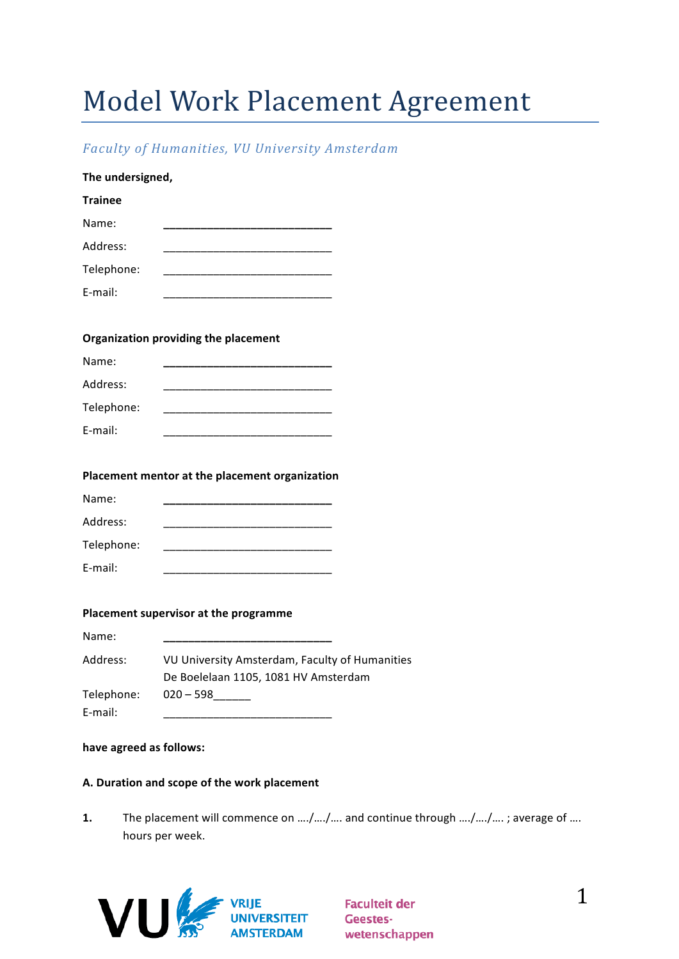# Model Work Placement Agreement

## *Faculty of Humanities, VU University Amsterdam*

| The undersigned, |                                                                                                                       |
|------------------|-----------------------------------------------------------------------------------------------------------------------|
| <b>Trainee</b>   |                                                                                                                       |
| Name:            |                                                                                                                       |
| Address:         | <u> 1989 - Johann John Stone, markin amerikan bisa di sebagai pertama dan bagian dan bagian dan bisa di sebagai p</u> |
| Telephone:       |                                                                                                                       |
| E-mail:          |                                                                                                                       |
|                  |                                                                                                                       |
|                  | <b>Organization providing the placement</b>                                                                           |
| Name:            | ___________________________                                                                                           |
| Address:         |                                                                                                                       |
| Telephone:       | <u> 1989 - Johann John Stone, markin film yn y brenin y brenin y brenin y brenin y brenin y brenin y brenin y br</u>  |
| E-mail:          | <u> 1989 - Johann John Stone, mars eta bat eta bat eta bat eta bat eta bat eta bat eta bat eta bat eta bat eta b</u>  |
|                  |                                                                                                                       |
|                  | Placement mentor at the placement organization                                                                        |
| Name:            |                                                                                                                       |
| Address:         |                                                                                                                       |
| Telephone:       |                                                                                                                       |
| E-mail:          |                                                                                                                       |
|                  |                                                                                                                       |
|                  | Placement supervisor at the programme                                                                                 |
| Name:            |                                                                                                                       |
| Address:         | VU University Amsterdam, Faculty of Humanities<br>De Boelelaan 1105, 1081 HV Amsterdam                                |
| Telephone:       | $020 - 598$                                                                                                           |

#### have agreed as follows:

E-mail:

## **A. Duration and scope of the work placement**

1. The placement will commence on …./…./…. and continue through …./…./…. ; average of …. hours per week.



**Faculteit der Geestes**wetenschappen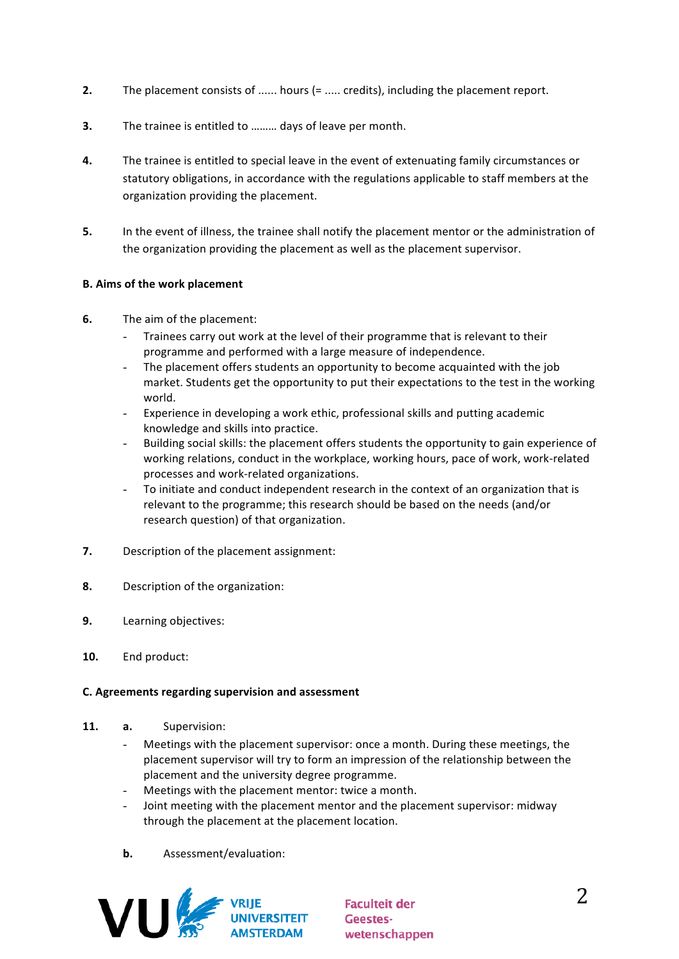- **2.** The placement consists of ...... hours (= ..... credits), including the placement report.
- **3.** The trainee is entitled to ……… days of leave per month.
- 4. The trainee is entitled to special leave in the event of extenuating family circumstances or statutory obligations, in accordance with the regulations applicable to staff members at the organization providing the placement.
- **5.** In the event of illness, the trainee shall notify the placement mentor or the administration of the organization providing the placement as well as the placement supervisor.

## **B.** Aims of the work placement

- **6.** The aim of the placement:
	- Trainees carry out work at the level of their programme that is relevant to their programme and performed with a large measure of independence.
	- The placement offers students an opportunity to become acquainted with the job market. Students get the opportunity to put their expectations to the test in the working world.
	- Experience in developing a work ethic, professional skills and putting academic knowledge and skills into practice.
	- Building social skills: the placement offers students the opportunity to gain experience of working relations, conduct in the workplace, working hours, pace of work, work-related processes and work-related organizations.
	- To initiate and conduct independent research in the context of an organization that is relevant to the programme; this research should be based on the needs (and/or research question) of that organization.
- **7.** Description of the placement assignment:
- **8.** Description of the organization:
- **9.** Learning objectives:
- 10. End product:

#### **C. Agreements regarding supervision and assessment**

- **11. a.** Supervision:
	- Meetings with the placement supervisor: once a month. During these meetings, the placement supervisor will try to form an impression of the relationship between the placement and the university degree programme.
	- Meetings with the placement mentor: twice a month.
	- Joint meeting with the placement mentor and the placement supervisor: midway through the placement at the placement location.
	- **b.** Assessment/evaluation:



**Faculteit der** Geesteswetenschappen